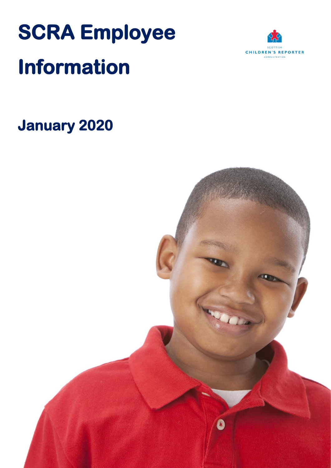# **SCRA Employee Information**



## **January 2020**

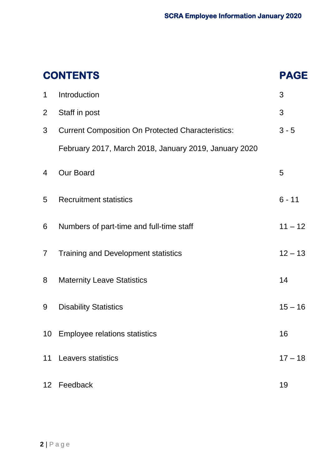|                 | <b>CONTENTS</b>                                          | <b>PAGE</b> |
|-----------------|----------------------------------------------------------|-------------|
| $\mathbf 1$     | Introduction                                             | 3           |
| 2               | Staff in post                                            | 3           |
| 3               | <b>Current Composition On Protected Characteristics:</b> | $3 - 5$     |
|                 | February 2017, March 2018, January 2019, January 2020    |             |
| 4               | <b>Our Board</b>                                         | 5           |
| 5               | <b>Recruitment statistics</b>                            | $6 - 11$    |
| 6               | Numbers of part-time and full-time staff                 | $11 - 12$   |
| $\overline{7}$  | <b>Training and Development statistics</b>               | $12 - 13$   |
| 8               | <b>Maternity Leave Statistics</b>                        | 14          |
| 9               | <b>Disability Statistics</b>                             | $15 - 16$   |
| 10              | <b>Employee relations statistics</b>                     | 16          |
| 11              | <b>Leavers statistics</b>                                | $17 - 18$   |
| 12 <sup>7</sup> | Feedback                                                 | 19          |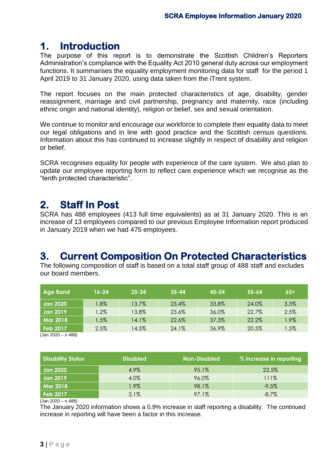## **1. Introduction**

The purpose of this report is to demonstrate the Scottish Children's Reporters Administration's compliance with the Equality Act 2010 general duty across our employment functions. It summarises the equality employment monitoring data for staff for the period 1 April 2019 to 31 January 2020, using data taken from the iTrent system.

The report focuses on the main protected characteristics of age, disability, gender reassignment, marriage and civil partnership, pregnancy and maternity, race (including ethnic origin and national identity), religion or belief, sex and sexual orientation.

We continue to monitor and encourage our workforce to complete their equality data to meet our legal obligations and in line with good practice and the Scottish census questions. Information about this has continued to increase slightly in respect of disability and religion or belief.

SCRA recognises equality for people with experience of the care system. We also plan to update our employee reporting form to reflect care experience which we recognise as the "tenth protected characteristic".

## **2. Staff In Post**

SCRA has 488 employees (413 full time equivalents) as at 31 January 2020. This is an increase of 13 employees compared to our previous Employee Information report produced in January 2019 when we had 475 employees.

## **3. Current Composition On Protected Characteristics**

The following composition of staff is based on a total staff group of 488 staff and excludes our board members.

| <b>Age Band</b> | $16 - 24$ | $25 - 34$ | $35 - 44$ | $45 - 54$ | $55 - 64$ | $65+$   |
|-----------------|-----------|-----------|-----------|-----------|-----------|---------|
| Jan 2020        | $1.8\%$   | 13.7%     | 23.4%     | 33.8%     | 24.0%     | 3.3%    |
| Jan 2019        | $.2\%$    | 13.8%     | 23.6%     | 36.0%     | 22.7%     | 2.5%    |
| <b>Mar 2018</b> | $1.5\%$   | 14.1%     | 22.6%     | 37.3%     | 22.2%     | $1.9\%$ |
| <b>Feb 2017</b> | 2.5%      | 14.5%     | 24.1%     | 36.9%     | 20.5%     | $1.5\%$ |

(Jan 2020 – n 488)

| <b>Disability Status</b> | <b>Disabled</b> | <b>Non-Disabled</b> | % increase in reporting |
|--------------------------|-----------------|---------------------|-------------------------|
| <b>Jan 2020</b>          | 4.9%            | 95.1%               | 22.5%                   |
| <b>Jan 2019</b>          | 4.0%            | 96.0%               | 111%                    |
| <b>Mar 2018</b>          | $1.9\%$         | 98.1%               | $-9.5%$                 |
| Feb 2017                 | 2.1%            | 97.1%               | $-8.7\%$                |

 $(Jan 2020 - n 488)$ 

The January 2020 information shows a 0.9% increase in staff reporting a disability. The continued increase in reporting will have been a factor in this increase.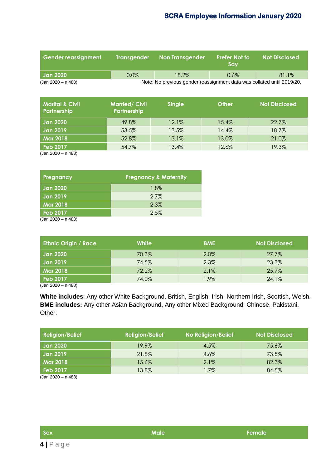| Gender reassignment<br><b>Transgender</b> |         | <b>Non Transgender</b>                                                 | <b>Prefer Not to</b><br>Sav | <b>Not Disclosed</b> |
|-------------------------------------------|---------|------------------------------------------------------------------------|-----------------------------|----------------------|
| <b>Jan 2020</b>                           | $0.0\%$ | 18.2%                                                                  | $0.6\%$                     | 81.1%                |
| (Jan 2020 - n 488)                        |         | Note: No previous gender reassignment data was collated until 2019/20. |                             |                      |

| <b>Marital &amp; Civil</b><br><b>Partnership</b> | <b>Married/Civil</b><br><b>Partnership</b> | <b>Single</b> | Other | <b>Not Disclosed</b> |
|--------------------------------------------------|--------------------------------------------|---------------|-------|----------------------|
| Jan 2020                                         | 49.8%                                      | 12.1%         | 15.4% | 22.7%                |
| Jan 2019                                         | 53.5%                                      | 13.5%         | 14.4% | 18.7%                |
| <b>Mar 2018</b>                                  | 52.8%                                      | 13.1%         | 13.0% | 21.0%                |
| Feb 2017                                         | 54.7%                                      | 13.4%         | 12.6% | 19.3%                |

(Jan 2020 – n 488)

| Pregnancy       | <b>Pregnancy &amp; Maternity</b> |
|-----------------|----------------------------------|
| <b>Jan 2020</b> | 1.8%                             |
| <b>Jan 2019</b> | $2.7\%$                          |
| Mar 2018        | 2.3%                             |
| Feb 2017        | 2.5%                             |

(Jan 2020 – n 488)

| <b>Ethnic Origin / Race</b> | White | <b>BME</b> | <b>Not Disclosed</b> |
|-----------------------------|-------|------------|----------------------|
| Jan 2020                    | 70.3% | 2.0%       | 27.7%                |
| Jan 2019                    | 74.5% | 2.3%       | 23.3%                |
| <b>Mar 2018</b>             | 72.2% | 2.1%       | 25.7%                |
| Feb 2017                    | 74.0% | 1.9%       | 24.1%                |

(Jan 2020 – n 488)

**White includes**: Any other White Background, British, English, Irish, Northern Irish, Scottish, Welsh. **BME includes:** Any other Asian Background, Any other Mixed Background, Chinese, Pakistani, Other.

| <b>Religion/Belief</b> | <b>Religion/Belief</b> | <b>No Religion/Belief</b> | <b>Not Disclosed</b> |
|------------------------|------------------------|---------------------------|----------------------|
| <b>Jan 2020</b>        | 19.9%                  | 4.5%                      | 75.6%                |
| <b>Jan 2019</b>        | 21.8%                  | 4.6%                      | 73.5%                |
| <b>Mar 2018</b>        | 15.6%                  | 2.1%                      | 82.3%                |
| <b>Feb 2017</b>        | 13.8%                  | 1.7%                      | 84.5%                |
| $(1 - 0000 - 100)$     |                        |                           |                      |

(Jan 2020 – n 488)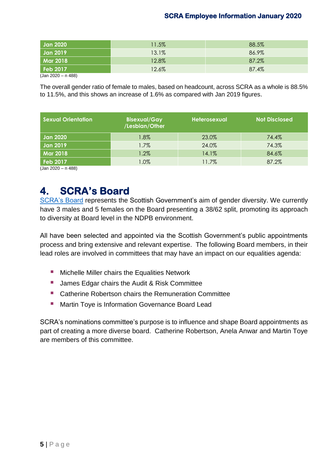| <b>Jan 2020</b>      | 11.5% | 88.5% |
|----------------------|-------|-------|
| Jan 2019             | 13.1% | 86.9% |
| <b>Mar 2018</b>      | 12.8% | 87.2% |
| <b>Feb 2017</b>      | 12.6% | 87.4% |
| $(Jan 2020 - n 488)$ |       |       |

The overall gender ratio of female to males, based on headcount, across SCRA as a whole is 88.5% to 11.5%, and this shows an increase of 1.6% as compared with Jan 2019 figures.

| <b>Sexual Orientation</b> | <b>Bisexual/Gay</b><br>/Lesbian/Other | <b>Heterosexual</b> | <b>Not Disclosed</b> |
|---------------------------|---------------------------------------|---------------------|----------------------|
| <b>Jan 2020</b>           | $1.8\%$                               | 23.0%               | 74.4%                |
| <b>Jan 2019</b>           | 1.7%                                  | 24.0%               | 74.3%                |
| <b>Mar 2018</b>           | $1.2\%$                               | 14.1%               | 84.6%                |
| <b>Feb 2017</b>           | $1.0\%$                               | 11.7%               | 87.2%                |

(Jan 2020 – n 488)

## **4. SCRA's Board**

[SCRA's Board](http://www.scra.gov.uk/children_s_hearings_system/about_scra/scra_s_board.cfm) represents the Scottish Government's [aim of gender diversity.](http://www.gov.scot/Publications/2014/12/3382) We currently have 3 males and 5 females on the Board presenting a 38/62 split, promoting its approach to diversity at Board level in the NDPB environment.

All have been selected and appointed via the Scottish Government's public appointments process and bring extensive and relevant expertise. The following Board members, in their lead roles are involved in committees that may have an impact on our equalities agenda:

- **E** Michelle Miller chairs the Equalities Network
- **James Edgar chairs the Audit & Risk Committee**
- **E** Catherine Robertson chairs the Remuneration Committee
- **Martin Toye is Information Governance Board Lead**

SCRA's nominations committee's purpose is to influence and shape Board appointments as part of creating a more diverse board. Catherine Robertson, Anela Anwar and Martin Toye are members of this committee.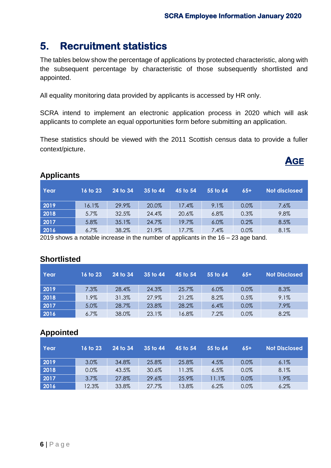## **5. Recruitment statistics**

The tables below show the percentage of applications by protected characteristic, along with the subsequent percentage by characteristic of those subsequently shortlisted and appointed.

All equality monitoring data provided by applicants is accessed by HR only.

SCRA intend to implement an electronic application process in 2020 which will ask applicants to complete an equal opportunities form before submitting an application.

These statistics should be viewed with the 2011 Scottish census data to provide a fuller context/picture.



#### **Applicants**

| Year | 16 to 23 | 24 to 34 | 35 to 44 | 45 to 54 | 55 to 64 | $65+$ | Not disclosed |
|------|----------|----------|----------|----------|----------|-------|---------------|
| 2019 | 16.1%    | 29.9%    | 20.0%    | 17.4%    | 9.1%     | 0.0%  | 7.6%          |
| 2018 | 5.7%     | 32.5%    | 24.4%    | 20.6%    | 6.8%     | 0.3%  | 9.8%          |
| 2017 | 5.8%     | 35.1%    | 24.7%    | 19.7%    | 6.0%     | 0.2%  | 8.5%          |
| 2016 | $6.7\%$  | 38.2%    | 21.9%    | 17.7%    | 7.4%     | 0.0%  | 8.1%          |

2019 shows a notable increase in the number of applicants in the 16 – 23 age band.

#### **Shortlisted**

| Year | 16 to 23 | 24 to 34 | 35 to 44 | 45 to 54 | 55 to 64 | $65+$ | <b>Not Disclosed</b> |
|------|----------|----------|----------|----------|----------|-------|----------------------|
| 2019 | 7.3%     | 28.4%    | 24.3%    | 25.7%    | 6.0%     | 0.0%  | 8.3%                 |
| 2018 | 1.9%     | 31.3%    | 27.9%    | 21.2%    | 8.2%     | 0.5%  | 9.1%                 |
| 2017 | 5.0%     | 28.7%    | 23.8%    | 28.2%    | 6.4%     | 0.0%  | 7.9%                 |
| 2016 | $6.7\%$  | 38.0%    | 23.1%    | 16.8%    | 7.2%     | 0.0%  | 8.2%                 |

#### **Appointed**

| Year | 16 to 23 | 24 to 34 | 35 to 44 | 45 to 54 | 55 to 64 | $65+$   | <b>Not Disclosed</b> |
|------|----------|----------|----------|----------|----------|---------|----------------------|
| 2019 | 3.0%     | 34.8%    | 25.8%    | 25.8%    | 4.5%     | 0.0%    | $6.1\%$              |
| 2018 | 0.0%     | 43.5%    | 30.6%    | 11.3%    | 6.5%     | $0.0\%$ | 8.1%                 |
| 2017 | 3.7%     | 27.8%    | 29.6%    | 25.9%    | 11.1%    | 0.0%    | 1.9%                 |
| 2016 | 12.3%    | 33.8%    | 27.7%    | 13.8%    | 6.2%     | 0.0%    | 6.2%                 |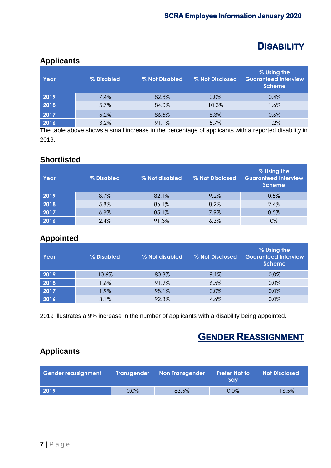## **DISABILITY**

#### **Applicants**

| Year | % Disabled | % Not Disabled | % Not Disclosed | % Using the<br><b>Guaranteed Interview</b><br><b>Scheme</b> |
|------|------------|----------------|-----------------|-------------------------------------------------------------|
| 2019 | 7.4%       | 82.8%          | 0.0%            | 0.4%                                                        |
| 2018 | 5.7%       | 84.0%          | 10.3%           | 1.6%                                                        |
| 2017 | 5.2%       | 86.5%          | 8.3%            | 0.6%                                                        |
| 2016 | 3.2%       | 91.1%          | 5.7%            | .2%                                                         |

The table above shows a small increase in the percentage of applicants with a reported disability in 2019.

#### **Shortlisted**

| Year | % Disabled | % Not disabled | % Not Disclosed | % Using the<br><b>Guaranteed Interview</b><br><b>Scheme</b> |
|------|------------|----------------|-----------------|-------------------------------------------------------------|
| 2019 | 8.7%       | 82.1%          | 9.2%            | 0.5%                                                        |
| 2018 | 5.8%       | 86.1%          | 8.2%            | 2.4%                                                        |
| 2017 | 6.9%       | 85.1%          | 7.9%            | 0.5%                                                        |
| 2016 | 2.4%       | 91.3%          | 6.3%            | 0%                                                          |

#### **Appointed**

| <b>Year</b> | % Disabled | % Not disabled | % Not Disclosed | % Using the<br><b>Guaranteed Interview</b><br><b>Scheme</b> |
|-------------|------------|----------------|-----------------|-------------------------------------------------------------|
| 2019        | 10.6%      | 80.3%          | 9.1%            | 0.0%                                                        |
| 2018        | $1.6\%$    | 91.9%          | 6.5%            | 0.0%                                                        |
| 2017        | $1.9\%$    | 98.1%          | 0.0%            | 0.0%                                                        |
| 2016        | 3.1%       | 92.3%          | 4.6%            | 0.0%                                                        |

2019 illustrates a 9% increase in the number of applicants with a disability being appointed.

## **GENDER REASSIGNMENT**

#### **Applicants**

| Gender reassignment | <b>Transgender</b> | <b>Non Transgender</b> | <b>Prefer Not to</b><br>Sav | <b>Not Disclosed</b> |
|---------------------|--------------------|------------------------|-----------------------------|----------------------|
| 2019                | $0.0\%$            | 83.5%                  | 0.0%                        | 16.5%                |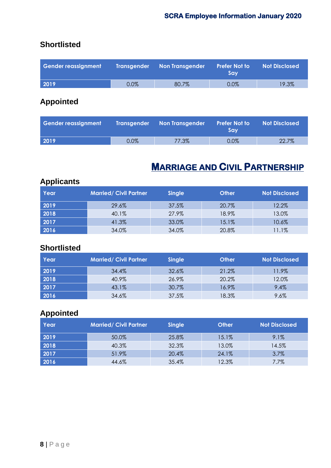#### **Shortlisted**

| <b>Gender reassignment</b> |         | Transgender Non Transgender | <b>Prefer Not to</b><br>Sav | <b>Not Disclosed</b> |
|----------------------------|---------|-----------------------------|-----------------------------|----------------------|
| 2019                       | $0.0\%$ | 80.7%                       | $0.0\%$                     | 19.3%                |

## **Appointed**

| Gender reassignment |         | Transgender Non Transgender | <b>Prefer Not to</b><br>Sav | <b>Not Disclosed</b> |
|---------------------|---------|-----------------------------|-----------------------------|----------------------|
| 2019                | $0.0\%$ | 77.3%                       | 0.0%                        | 22.7%                |

## **MARRIAGE AND CIVIL PARTNERSHIP**

## **Applicants**

| Year | <b>Married/ Civil Partner</b> | <b>Single</b> | <b>Other</b> | <b>Not Disclosed</b> |
|------|-------------------------------|---------------|--------------|----------------------|
| 2019 | 29.6%                         | 37.5%         | 20.7%        | 12.2%                |
| 2018 | 40.1%                         | 27.9%         | 18.9%        | 13.0%                |
| 2017 | 41.3%                         | 33.0%         | 15.1%        | 10.6%                |
| 2016 | 34.0%                         | 34.0%         | 20.8%        | 11.1%                |

#### **Shortlisted**

| Year | <b>Married/ Civil Partner</b> | <b>Single</b> | <b>Other</b> | <b>Not Disclosed</b> |
|------|-------------------------------|---------------|--------------|----------------------|
| 2019 | 34.4%                         | 32.6%         | 21.2%        | 11.9%                |
| 2018 | 40.9%                         | 26.9%         | 20.2%        | 12.0%                |
| 2017 | 43.1%                         | 30.7%         | 16.9%        | 9.4%                 |
| 2016 | 34.6%                         | 37.5%         | 18.3%        | 9.6%                 |

## **Appointed**

| Year | Married/Civil Partner | <b>Single</b> | <b>Other</b> | <b>Not Disclosed</b> |
|------|-----------------------|---------------|--------------|----------------------|
| 2019 | 50.0%                 | 25.8%         | 15.1%        | 9.1%                 |
| 2018 | 40.3%                 | 32.3%         | 13.0%        | 14.5%                |
| 2017 | 51.9%                 | 20.4%         | 24.1%        | 3.7%                 |
| 2016 | 44.6%                 | 35.4%         | 12.3%        | 7.7%                 |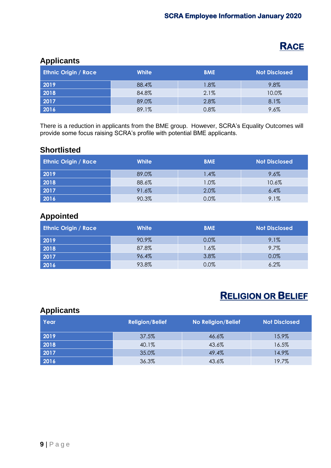## **RACE**

#### **Applicants**

| <b>Ethnic Origin / Race</b> | <b>White</b> | <b>BME</b> | <b>Not Disclosed</b> |
|-----------------------------|--------------|------------|----------------------|
| 2019                        | 88.4%        | 1.8%       | 9.8%                 |
| 2018                        | 84.8%        | 2.1%       | 10.0%                |
| 2017                        | 89.0%        | 2.8%       | 8.1%                 |
| 2016                        | 89.1%        | 0.8%       | 9.6%                 |

There is a reduction in applicants from the BME group. However, SCRA's Equality Outcomes will provide some focus raising SCRA's profile with potential BME applicants.

#### **Shortlisted**

| <b>Ethnic Origin / Race</b> | <b>White</b> | <b>BME</b> | Not Disclosed |
|-----------------------------|--------------|------------|---------------|
| 2019                        | 89.0%        | 1.4%       | 9.6%          |
| 2018                        | 88.6%        | 1.0%       | 10.6%         |
| 2017                        | 91.6%        | 2.0%       | 6.4%          |
| 2016                        | 90.3%        | 0.0%       | 9.1%          |

#### **Appointed**

| <b>Ethnic Origin / Race</b> | <b>White</b> | <b>BME</b> | <b>Not Disclosed</b> |
|-----------------------------|--------------|------------|----------------------|
| 2019                        | 90.9%        | $0.0\%$    | 9.1%                 |
| 2018                        | 87.8%        | 1.6%       | 9.7%                 |
| 2017                        | 96.4%        | 3.8%       | 0.0%                 |
| 2016                        | 93.8%        | 0.0%       | 6.2%                 |

## **RELIGION OR BELIEF**

#### **Applicants**

| Year | <b>Religion/Belief</b> | <b>No Religion/Belief</b> | <b>Not Disclosed</b> |
|------|------------------------|---------------------------|----------------------|
| 2019 | 37.5%                  | 46.6%                     | 15.9%                |
| 2018 | 40.1%                  | 43.6%                     | 16.5%                |
| 2017 | 35.0%                  | 49.4%                     | 14.9%                |
| 2016 | 36.3%                  | 43.6%                     | 19.7%                |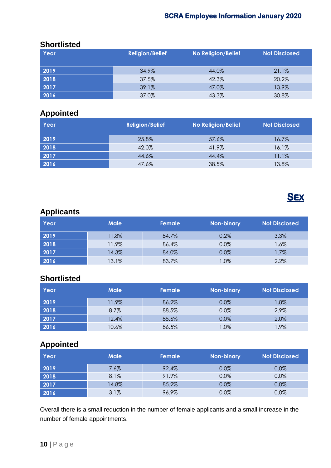#### **Shortlisted**

| Year | <b>Religion/Belief</b> | <b>No Religion/Belief</b> | <b>Not Disclosed</b> |
|------|------------------------|---------------------------|----------------------|
| 2019 | 34.9%                  | 44.0%                     | 21.1%                |
| 2018 | 37.5%                  | 42.3%                     | 20.2%                |
| 2017 | 39.1%                  | 47.0%                     | 13.9%                |
| 2016 | 37.0%                  | 43.3%                     | 30.8%                |

#### **Appointed**

| Year | <b>Religion/Belief</b> | <b>No Religion/Belief</b> | <b>Not Disclosed</b> |
|------|------------------------|---------------------------|----------------------|
| 2019 | 25.8%                  | 57.6%                     | 16.7%                |
| 2018 | 42.0%                  | 41.9%                     | 16.1%                |
| 2017 | 44.6%                  | 44.4%                     | 11.1%                |
| 2016 | 47.6%                  | 38.5%                     | 13.8%                |



## **Applicants**

| Year | <b>Male</b> | Female | <b>Non-binary</b> | Not Disclosed |
|------|-------------|--------|-------------------|---------------|
| 2019 | 11.8%       | 84.7%  | 0.2%              | 3.3%          |
| 2018 | 11.9%       | 86.4%  | 0.0%              | 1.6%          |
| 2017 | 14.3%       | 84.0%  | 0.0%              | 1.7%          |
| 2016 | 13.1%       | 83.7%  | $.0\%$            | 2.2%          |

## **Shortlisted**

| Year | <b>Male</b> | Female | <b>Non-binary</b> | <b>Not Disclosed</b> |
|------|-------------|--------|-------------------|----------------------|
| 2019 | 11.9%       | 86.2%  | 0.0%              | $1.8\%$              |
| 2018 | 8.7%        | 88.5%  | 0.0%              | 2.9%                 |
| 2017 | 12.4%       | 85.6%  | 0.0%              | 2.0%                 |
| 2016 | 10.6%       | 86.5%  | .0%               | .9%                  |

#### **Appointed**

| Year | <b>Male</b> | Female | <b>Non-binary</b> | <b>Not Disclosed</b> |
|------|-------------|--------|-------------------|----------------------|
| 2019 | 7.6%        | 92.4%  | 0.0%              | 0.0%                 |
| 2018 | 8.1%        | 91.9%  | 0.0%              | 0.0%                 |
| 2017 | 14.8%       | 85.2%  | 0.0%              | 0.0%                 |
| 2016 | 3.1%        | 96.9%  | 0.0%              | 0.0%                 |

Overall there is a small reduction in the number of female applicants and a small increase in the number of female appointments.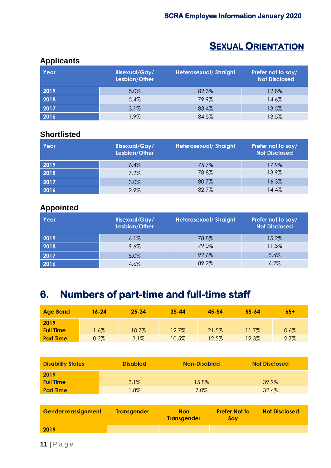## **SEXUAL ORIENTATION**

#### **Applicants**

| Year | <b>Bisexual/Gay/</b><br>Lesbian/Other | <b>Heterosexual/Straight</b> | Prefer not to say/<br><b>Not Disclosed</b> |
|------|---------------------------------------|------------------------------|--------------------------------------------|
| 2019 | 5.0%                                  | 82.3%                        | 12.8%                                      |
| 2018 | 5.4%                                  | 79.9%                        | 14.6%                                      |
| 2017 | 3.1%                                  | 83.4%                        | 13.5%                                      |
| 2016 | 1.9%                                  | 84.5%                        | 13.5%                                      |

#### **Shortlisted**

| <b>Year</b> | <b>Bisexual/Gay/</b><br>Lesbian/Other | <b>Heterosexual/Straight</b> | Prefer not to say/<br><b>Not Disclosed</b> |
|-------------|---------------------------------------|------------------------------|--------------------------------------------|
| 2019        | 6.4%                                  | 75.7%                        | 17.9%                                      |
| 2018        | 7.2%                                  | 78.8%                        | 13.9%                                      |
| 2017        | 3.0%                                  | 80.7%                        | 16.3%                                      |
| 2016        | 2.9%                                  | 82.7%                        | 14.4%                                      |

#### **Appointed**

| Year | <b>Bisexual/Gay/</b><br>Lesbian/Other | <b>Heterosexual/Straight</b> | Prefer not to say/<br><b>Not Disclosed</b> |
|------|---------------------------------------|------------------------------|--------------------------------------------|
| 2019 | 6.1%                                  | 78.8%                        | 15.2%                                      |
| 2018 | 9.6%                                  | 79.0%                        | 11.3%                                      |
| 2017 | 5.0%                                  | 92.6%                        | 5.6%                                       |
| 2016 | 4.6%                                  | 89.2%                        | 6.2%                                       |

## **6. Numbers of part-time and full-time staff**

| <b>Age Band</b>  | 16-24   | $25 - 34$ | $35 - 44$ | $45 - 54$ | $55 - 64$ | $65+$ |
|------------------|---------|-----------|-----------|-----------|-----------|-------|
| 2019             |         |           |           |           |           |       |
| <b>Full Time</b> | $.6\%$  | $10.7\%$  | 12.7%     | 21.5%     | 11.7%     | 0.6%  |
| <b>Part Time</b> | $0.2\%$ | 3.1%      | $10.5\%$  | $12.5\%$  | 12.3%     | 2.7%  |

| <b>Disability Status</b> | <b>Disabled</b> | <b>Non-Disabled</b> | <b>Not Disclosed</b> |
|--------------------------|-----------------|---------------------|----------------------|
| 2019                     |                 |                     |                      |
| <b>Full Time</b>         | 3.1%            | 15.8%               | 39.9%                |
| <b>Part Time</b>         | $1.8\%$         | 7.0%                | 32.4%                |

| <b>Gender reassignment</b> | <b>Transgender</b> | <b>Non</b><br><b>Transaender</b> | <b>Prefer Not to</b><br>Sav | <b>Not Disclosed</b> |
|----------------------------|--------------------|----------------------------------|-----------------------------|----------------------|
| 2019                       |                    |                                  |                             |                      |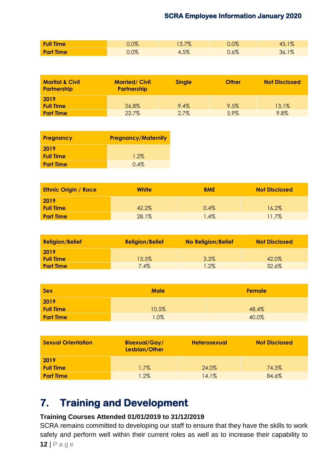| <b>Full Time</b> | $0.0\%$ | 13.7% | $0.0\%$ | 45.1% |
|------------------|---------|-------|---------|-------|
| <b>Part Time</b> | $0.0\%$ | 4.5%  | $0.6\%$ | 36.1% |

| <b>Marital &amp; Civil</b><br><b>Partnership</b> | <b>Married/Civil</b><br><b>Partnership</b> | <b>Single</b> | <b>Other</b> | <b>Not Disclosed</b> |
|--------------------------------------------------|--------------------------------------------|---------------|--------------|----------------------|
| 2019                                             |                                            |               |              |                      |
| <b>Full Time</b>                                 | 26.8%                                      | $9.4\%$       | 9.5%         | 13.1%                |
| <b>Part Time</b>                                 | 22.7%                                      | $2.7\%$       | 5.9%         | 9.8%                 |

| <b>Pregnancy</b> | <b>Pregnancy/Maternity</b> |
|------------------|----------------------------|
| 2019             |                            |
| <b>Full Time</b> | $1.2\%$                    |
| <b>Part Time</b> | $0.4\%$                    |

| <b>Ethnic Origin / Race</b> | <b>White</b> | <b>BME</b> | <b>Not Disclosed</b> |
|-----------------------------|--------------|------------|----------------------|
| 2019                        |              |            |                      |
| <b>Full Time</b>            | 42.2%        | 0.4%       | 16.2%                |
| <b>Part Time</b>            | 28.1%        | $1.4\%$    | 11.7%                |

| <b>Religion/Belief</b> | <b>Religion/Belief</b> | <b>No Religion/Belief</b> | <b>Not Disclosed</b> |
|------------------------|------------------------|---------------------------|----------------------|
| 2019                   |                        |                           |                      |
| <b>Full Time</b>       | 13.5%                  | 3.3%                      | 42.0%                |
| <b>Part Time</b>       | $7.4\%$                | $1.2\%$                   | 32.6%                |

| <b>Sex</b>       | <b>Male</b> | <b>Female</b> |
|------------------|-------------|---------------|
| 2019             |             |               |
| <b>Full Time</b> | 10.5%       | 48.4%         |
| <b>Part Time</b> | 1.0%        | 40.0%         |

| <b>Sexual Orientation</b> | <b>Bisexual/Gay/</b><br>Lesbian/Other | <b>Heterosexual</b> | <b>Not Disclosed</b> |
|---------------------------|---------------------------------------|---------------------|----------------------|
| 2019                      |                                       |                     |                      |
| <b>Full Time</b>          | $1.7\%$                               | 24.0%               | 74.3%                |
| <b>Part Time</b>          | $1.2\%$                               | 14.1%               | 84.6%                |

## **7. Training and Development**

#### **Training Courses Attended 01/01/2019 to 31/12/2019**

SCRA remains committed to developing our staff to ensure that they have the skills to work safely and perform well within their current roles as well as to increase their capability to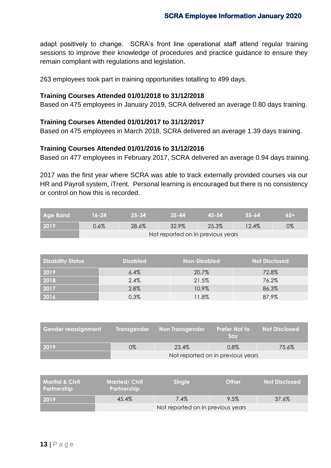adapt positively to change. SCRA's front line operational staff attend regular training sessions to improve their knowledge of procedures and practice guidance to ensure they remain compliant with regulations and legislation.

263 employees took part in training opportunities totalling to 499 days.

#### **Training Courses Attended 01/01/2018 to 31/12/2018**

Based on 475 employees in January 2019, SCRA delivered an average 0.80 days training.

#### **Training Courses Attended 01/01/2017 to 31/12/2017**

Based on 475 employees in March 2018, SCRA delivered an average 1.39 days training.

#### **Training Courses Attended 01/01/2016 to 31/12/2016**

Based on 477 employees in February 2017, SCRA delivered an average 0.94 days training.

2017 was the first year where SCRA was able to track externally provided courses via our HR and Payroll system, iTrent. Personal learning is encouraged but there is no consistency or control on how this is recorded.

| <b>Age Band</b> | $16 - 24$                         | -25-34 | $35 - 44$ | 45-54 | - 55-64 | $65+$ |
|-----------------|-----------------------------------|--------|-----------|-------|---------|-------|
| 2019            | $0.6\%$                           | 28.6%  | 32.9%     | 25.3% | 12.4%   | 0%    |
|                 | Not reported on in previous years |        |           |       |         |       |

| <b>Disability Status</b> | <b>Disabled</b> | Non-Disabled | <b>Not Disclosed</b> |
|--------------------------|-----------------|--------------|----------------------|
| 2019                     | $6.4\%$         | 20.7%        | 72.8%                |
| 2018                     | 2.4%            | 21.5%        | 76.2%                |
| 2017                     | 2.8%            | 10.9%        | 86.3%                |
| 2016                     | 0.3%            | 11.8%        | 87.9%                |

| <b>Gender reassignment</b> |                                   | Transgender Non Transgender | <b>Prefer Not to</b><br><b>Sav</b> | <b>Not Disclosed</b> |  |
|----------------------------|-----------------------------------|-----------------------------|------------------------------------|----------------------|--|
| 2019                       | 0%                                | 23.4%                       | $0.8\%$                            | 75.6%                |  |
|                            | Not reported on in previous years |                             |                                    |                      |  |

| l Marital & Civil <i>I</i><br>Partnership | <b>Married/Civil</b><br><b>Partnership</b> | <b>Single</b> | Other | <b>Not Disclosed</b> |  |
|-------------------------------------------|--------------------------------------------|---------------|-------|----------------------|--|
| 2019                                      | 45.4%                                      | $7.4\%$       | 9.5%  | 37.6%                |  |
|                                           | Not reported on in previous years          |               |       |                      |  |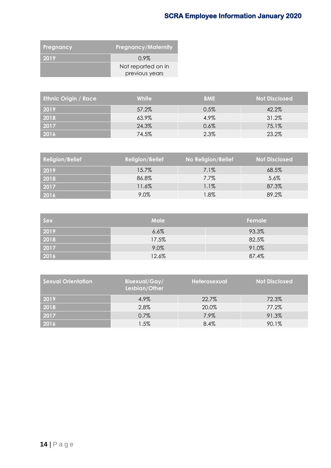| Pregnancy | <b>Pregnancy/Maternity</b> |
|-----------|----------------------------|
| 2019      | $0.9\%$                    |
|           | Not reported on in         |
|           | previous years             |

| <b>Ethnic Origin / Race</b> | <b>White</b> | <b>BME</b> | <b>Not Disclosed</b> |
|-----------------------------|--------------|------------|----------------------|
| 2019                        | 57.2%        | $0.5\%$    | 42.2%                |
| 2018                        | 63.9%        | 4.9%       | 31.2%                |
| 2017                        | 24.3%        | 0.6%       | 75.1%                |
| 2016                        | 74.5%        | 2.3%       | 23.2%                |

| <b>Religion/Belief</b> | <b>Religion/Belief</b> | No Religion/Belief | <b>Not Disclosed</b> |
|------------------------|------------------------|--------------------|----------------------|
| 2019                   | 15.7%                  | $7.1\%$            | 68.5%                |
| 2018                   | 86.8%                  | 7.7%               | 5.6%                 |
| 2017                   | 11.6%                  | 1.1%               | 87.3%                |
| 2016                   | 9.0%                   | 1.8%               | 89.2%                |

| <b>Sex</b>                                                        | <b>Male</b> | Female |
|-------------------------------------------------------------------|-------------|--------|
| 2019                                                              | 6.6%        | 93.3%  |
| 2018                                                              | 17.5%       | 82.5%  |
| $\begin{array}{ c c }\n\hline\n2017 \\ \hline\n2016\n\end{array}$ | 9.0%        | 91.0%  |
|                                                                   | 12.6%       | 87.4%  |

| <b>Sexual Orientation</b> | <b>Bisexual/Gay/</b><br>Lesbian/Other | Heterosexual | <b>Not Disclosed</b> |
|---------------------------|---------------------------------------|--------------|----------------------|
| 2019                      | 4.9%                                  | 22.7%        | 72.3%                |
| 2018                      | 2.8%                                  | 20.0%        | 77.2%                |
| 2017                      | 0.7%                                  | 7.9%         | 91.3%                |
| 2016                      | 1.5%                                  | 8.4%         | 90.1%                |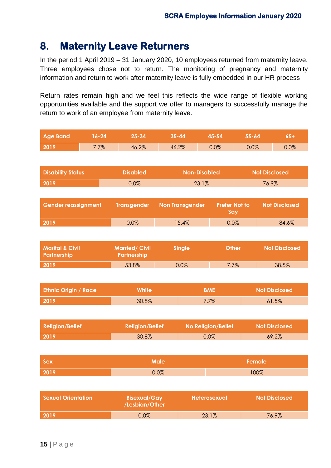## **8. Maternity Leave Returners**

In the period 1 April 2019 – 31 January 2020, 10 employees returned from maternity leave. Three employees chose not to return. The monitoring of pregnancy and maternity information and return to work after maternity leave is fully embedded in our HR process

Return rates remain high and we feel this reflects the wide range of flexible working opportunities available and the support we offer to managers to successfully manage the return to work of an employee from maternity leave.

| <b>Age Band</b>                                  | $16 - 24$ | $25 - 34$                                  |             | $35 - 44$                                         | $45 - 54$           | $55 - 64$                   |                      | $65+$                |
|--------------------------------------------------|-----------|--------------------------------------------|-------------|---------------------------------------------------|---------------------|-----------------------------|----------------------|----------------------|
| 2019                                             | 7.7%      | 46.2%                                      |             | 46.2%                                             | 0.0%<br>0.0%        |                             |                      | 0.0%                 |
|                                                  |           |                                            |             |                                                   |                     |                             |                      |                      |
| <b>Disability Status</b>                         |           | <b>Disabled</b>                            |             | <b>Non-Disabled</b>                               |                     |                             | <b>Not Disclosed</b> |                      |
| 2019                                             |           | 0.0%                                       |             | 23.1%                                             |                     |                             | 76.9%                |                      |
|                                                  |           |                                            |             |                                                   |                     |                             |                      |                      |
| <b>Gender reassignment</b>                       |           | <b>Transgender</b>                         |             | <b>Non Transgender</b>                            |                     | <b>Prefer Not to</b><br>Say |                      | <b>Not Disclosed</b> |
| 2019                                             |           | 0.0%                                       |             | 15.4%                                             |                     | 0.0%                        |                      | 84.6%                |
|                                                  |           |                                            |             |                                                   |                     |                             |                      |                      |
| <b>Marital &amp; Civil</b><br><b>Partnership</b> |           | <b>Married/Civil</b><br><b>Partnership</b> |             | <b>Other</b><br><b>Single</b>                     |                     |                             | <b>Not Disclosed</b> |                      |
| 2019                                             |           | 53.8%                                      |             | 0.0%                                              |                     | 7.7%                        | 38.5%                |                      |
|                                                  |           |                                            |             |                                                   |                     |                             |                      |                      |
| <b>Ethnic Origin / Race</b>                      |           | <b>White</b>                               |             |                                                   | <b>BME</b>          |                             | <b>Not Disclosed</b> |                      |
| 2019                                             |           | 30.8%                                      |             | 7.7%                                              |                     |                             | 61.5%                |                      |
|                                                  |           |                                            |             |                                                   |                     |                             |                      |                      |
| <b>Religion/Belief</b>                           |           | <b>Religion/Belief</b>                     |             | <b>No Religion/Belief</b><br><b>Not Disclosed</b> |                     |                             |                      |                      |
| 2019                                             |           | 30.8%                                      |             |                                                   | 0.0%                |                             | 69.2%                |                      |
|                                                  |           |                                            |             |                                                   |                     |                             |                      |                      |
| Sex                                              |           |                                            | <b>Male</b> | <b>Female</b>                                     |                     |                             |                      |                      |
| 2019                                             |           |                                            | 0.0%        |                                                   | 100%                |                             |                      |                      |
|                                                  |           |                                            |             |                                                   |                     |                             |                      |                      |
| <b>Sexual Orientation</b>                        |           | <b>Bisexual/Gay</b><br>/Lesbian/Other      |             |                                                   | <b>Heterosexual</b> |                             | <b>Not Disclosed</b> |                      |
| 2019                                             |           | 0.0%                                       |             | 23.1%                                             |                     |                             | 76.9%                |                      |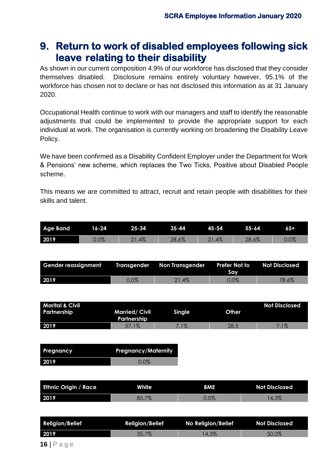## **9. Return to work of disabled employees following sick leave relating to their disability**

As shown in our current composition 4.9% of our workforce has disclosed that they consider themselves disabled. Disclosure remains entirely voluntary however, 95.1% of the workforce has chosen not to declare or has not disclosed this information as at 31 January 2020.

Occupational Health continue to work with our managers and staff to identify the reasonable adjustments that could be implemented to provide the appropriate support for each individual at work. The organisation is currently working on broadening the Disability Leave Policy.

We have been confirmed as a Disability Confident Employer under the Department for Work & Pensions' new scheme, which replaces the Two Ticks, Positive about Disabled People scheme.

This means we are committed to attract, recruit and retain people with disabilities for their skills and talent.

| <b>Age Band</b> | 16-24   | 25-34  | $35 - 44$           | 45-54 | $55 - 64$ | 65+     |
|-----------------|---------|--------|---------------------|-------|-----------|---------|
| 2019            | $0.0\%$ | $.4\%$ | 107<br>າວ<br>.O.O7o | 21.4% | $-6.6\%$  | $0.0\%$ |

| Gender reassignment Transgender Non Transgender |         |          | Prefer Not to<br>Sav | Not Disclosed |
|-------------------------------------------------|---------|----------|----------------------|---------------|
| 2019                                            | $0.0\%$ | $21.4\%$ | $0.0\%$              | 78.6%         |

| <b>Marital &amp; Civil</b><br>Partnership | <b>Married/Civil</b><br><b>Partnership</b> | Single | Other | <b>Not Disclosed</b> |
|-------------------------------------------|--------------------------------------------|--------|-------|----------------------|
| 2019                                      | 57.1%                                      | $1\%$  | 28.5  | $1\%$                |

| <b>Pregnancy</b> | <b>Pregnancy/Maternity</b> |
|------------------|----------------------------|
| 2019             | $0.0\%$                    |

| <b>Ethnic Origin / Race</b> | <b>White</b>   | <b>BME</b> | <b>Not Disclosed</b> |
|-----------------------------|----------------|------------|----------------------|
| 2019                        | 707<br>DJ./ /0 | $0.0\%$    | 4.3%                 |

| <b>Religion/Belief</b> | <b>Religion/Belief</b> | No Religion/Belief | <b>Not Disclosed</b> |
|------------------------|------------------------|--------------------|----------------------|
| 2019                   | $35.7\%$               | 4.3%               | 50.0%                |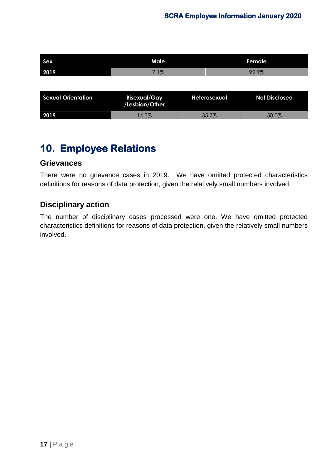| <b>Sex</b>                | Male                                  |              | Female               |
|---------------------------|---------------------------------------|--------------|----------------------|
| 2019                      | 7.1%                                  |              | 92.9%                |
|                           |                                       |              |                      |
| <b>Sexual Orientation</b> | <b>Bisexual/Gay</b><br>/Lesbian/Other | Heterosexual | <b>Not Disclosed</b> |
| 2019                      | 14.3%                                 | 35.7%        | 50.0%                |

## **10. Employee Relations**

#### **Grievances**

There were no grievance cases in 2019. We have omitted protected characteristics definitions for reasons of data protection, given the relatively small numbers involved.

#### **Disciplinary action**

The number of disciplinary cases processed were one. We have omitted protected characteristics definitions for reasons of data protection, given the relatively small numbers involved.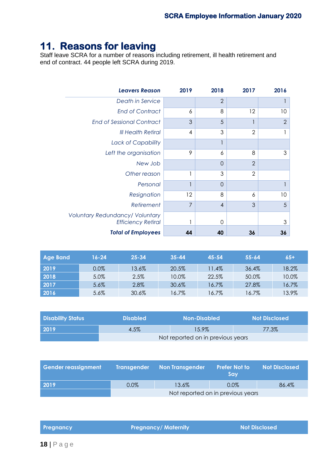## **11. Reasons for leaving**

Staff leave SCRA for a number of reasons including retirement, ill health retirement and end of contract. 44 people left SCRA during 2019.

| <b>Leavers Reason</b>                                               | 2019                     | 2018           | 2017           | 2016           |
|---------------------------------------------------------------------|--------------------------|----------------|----------------|----------------|
| Death in Service                                                    |                          | $\overline{2}$ |                |                |
| <b>End of Contract</b>                                              | 6                        | 8              | 12             | 10             |
| <b>End of Sessional Contract</b>                                    | 3                        | 5              |                | $\overline{2}$ |
| <b>III Health Retiral</b>                                           | 4                        | 3              | $\overline{2}$ |                |
| Lack of Capability                                                  |                          |                |                |                |
| Left the organisation                                               | 9                        | 6              | 8              | 3              |
| New Job                                                             |                          | $\overline{0}$ | $\overline{2}$ |                |
| Other reason                                                        |                          | 3              | $\overline{2}$ |                |
| Personal                                                            | $\overline{\phantom{a}}$ | $\overline{O}$ |                |                |
| Resignation                                                         | 12                       | 8              | 6              | 10             |
| Retirement                                                          | $\overline{7}$           | $\overline{4}$ | 3              | 5              |
| <b>Voluntary Redundancy/ Voluntary</b><br><b>Efficiency Retiral</b> | ı                        | $\Omega$       |                | 3              |
| <b>Total of Employees</b>                                           | 44                       | 40             | 36             | 36             |

| <b>Age Band</b> | 16-24 | $25 - 34$ | $35 - 44$ | 45-54 | $55 - 64$ | $65+$ |
|-----------------|-------|-----------|-----------|-------|-----------|-------|
| 2019            | 0.0%  | 13.6%     | 20.5%     | 11.4% | 36.4%     | 18.2% |
| 2018            | 5.0%  | 2.5%      | 10.0%     | 22.5% | 50.0%     | 10.0% |
| 2017            | 5.6%  | 2.8%      | 30.6%     | 16.7% | 27.8%     | 16.7% |
| 2016            | 5.6%  | 30.6%     | 16.7%     | 16.7% | 16.7%     | 13.9% |

| <b>Disability Status</b> | <b>Disabled</b>                   | <b>Non-Disabled</b> | <b>Not Disclosed</b> |
|--------------------------|-----------------------------------|---------------------|----------------------|
| 2019                     | 4.5%                              | 15.9%               | 77.3%                |
|                          | Not reported on in previous years |                     |                      |

| Gender reassignment |                                   | Transgender Non Transgender | <b>Prefer Not to</b><br>Sav | <b>Not Disclosed</b> |
|---------------------|-----------------------------------|-----------------------------|-----------------------------|----------------------|
| 2019                | $0.0\%$                           | 13.6%                       | $0.0\%$                     | 86.4%                |
|                     | Not reported on in previous years |                             |                             |                      |

**Pregnancy Pregnancy/ Maternity Not Disclosed**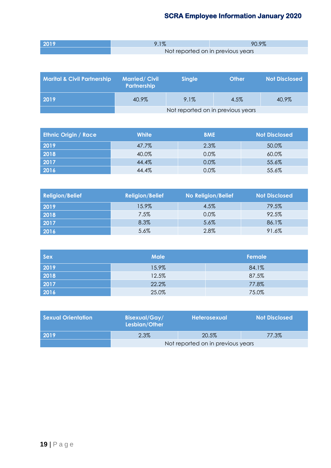| 2019 | $1\%$ | 90.9%                             |
|------|-------|-----------------------------------|
|      |       | Not reported on in previous years |

| <b>Marital &amp; Civil Partnership</b> | <b>Married/Civil</b><br>Partnership | <b>Single</b> | Other | <b>Not Disclosed</b> |
|----------------------------------------|-------------------------------------|---------------|-------|----------------------|
| 2019                                   | 40.9%                               | 9.1%          | 4.5%  | 40.9%                |
|                                        | Not reported on in previous years   |               |       |                      |

| <b>Ethnic Origin / Race</b> | <b>White</b> | <b>BME</b> | <b>Not Disclosed</b> |
|-----------------------------|--------------|------------|----------------------|
| 2019                        | 47.7%        | 2.3%       | 50.0%                |
| 2018                        | 40.0%        | $0.0\%$    | 60.0%                |
| 2017                        | 44.4%        | 0.0%       | 55.6%                |
| 2016                        | 44.4%        | 0.0%       | 55.6%                |

| <b>Religion/Belief</b> | <b>Religion/Belief</b> | <b>No Religion/Belief</b> | <b>Not Disclosed</b> |
|------------------------|------------------------|---------------------------|----------------------|
| 2019                   | 15.9%                  | 4.5%                      | 79.5%                |
| 2018                   | 7.5%                   | 0.0%                      | 92.5%                |
| 2017                   | 8.3%                   | 5.6%                      | 86.1%                |
| 2016                   | 5.6%                   | 2.8%                      | 91.6%                |

| <b>Sex</b> | <b>Male</b> | <b>Female</b> |
|------------|-------------|---------------|
| 2019       | 15.9%       | 84.1%         |
| 2018       | 12.5%       | 87.5%         |
| 2017       | 22.2%       | 77.8%         |
| 2016       | 25.0%       | 75.0%         |

| l Sexual Orientation | <b>Bisexual/Gay/</b><br>Lesbian/Other | <b>Heterosexual</b> | <b>Not Disclosed</b> |  |
|----------------------|---------------------------------------|---------------------|----------------------|--|
| 2019                 | 2.3%                                  | 20.5%               | 77.3%                |  |
|                      | Not reported on in previous years     |                     |                      |  |